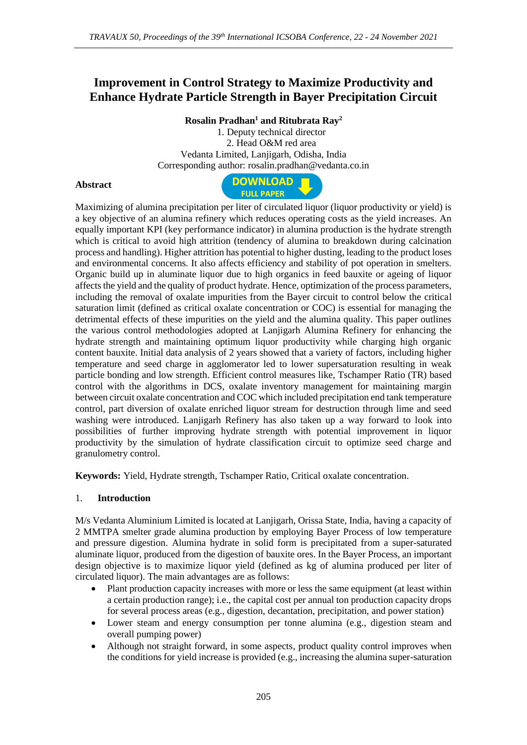# **Improvement in Control Strategy to Maximize Productivity and Enhance Hydrate Particle Strength in Bayer Precipitation Circuit**

## **Rosalin Pradhan<sup>1</sup> and Ritubrata Ray<sup>2</sup>**

1. Deputy technical director 2. Head O&M red area Vedanta Limited, Lanjigarh, Odisha, India Corresponding author: rosalin.pradhan@vedanta.co.in

**DOWNLOAD** 

### **Abstract**



**Keywords:** Yield, Hydrate strength, Tschamper Ratio, Critical oxalate concentration.

### 1. **Introduction**

M/s Vedanta Aluminium Limited is located at Lanjigarh, Orissa State, India, having a capacity of 2 MMTPA smelter grade alumina production by employing Bayer Process of low temperature and pressure digestion. Alumina hydrate in solid form is precipitated from a super-saturated aluminate liquor, produced from the digestion of bauxite ores. In the Bayer Process, an important design objective is to maximize liquor yield (defined as kg of alumina produced per liter of circulated liquor). The main advantages are as follows:

- Plant production capacity increases with more or less the same equipment (at least within a certain production range); i.e., the capital cost per annual ton production capacity drops for several process areas (e.g., digestion, decantation, precipitation, and power station)
- Lower steam and energy consumption per tonne alumina (e.g., digestion steam and overall pumping power)
- Although not straight forward, in some aspects, product quality control improves when the conditions for yield increase is provided (e.g., increasing the alumina super-saturation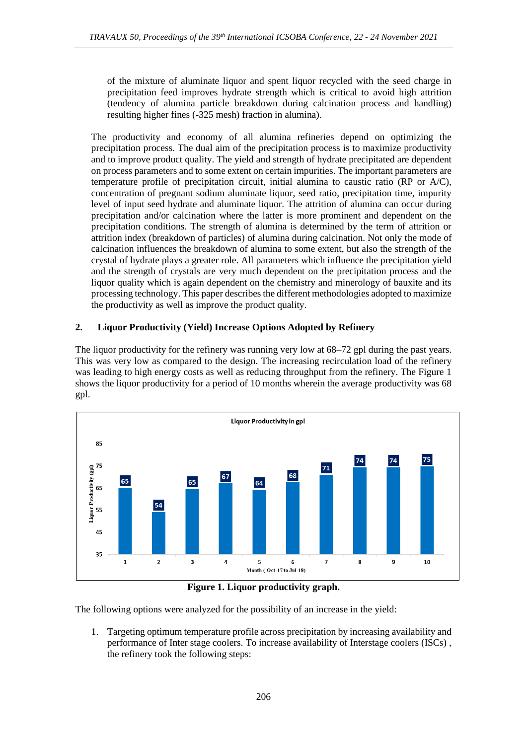of the mixture of aluminate liquor and spent liquor recycled with the seed charge in precipitation feed improves hydrate strength which is critical to avoid high attrition (tendency of alumina particle breakdown during calcination process and handling) resulting higher fines (-325 mesh) fraction in alumina).

The productivity and economy of all alumina refineries depend on optimizing the precipitation process. The dual aim of the precipitation process is to maximize productivity and to improve product quality. The yield and strength of hydrate precipitated are dependent on process parameters and to some extent on certain impurities. The important parameters are temperature profile of precipitation circuit, initial alumina to caustic ratio (RP or A/C), concentration of pregnant sodium aluminate liquor, seed ratio, precipitation time, impurity level of input seed hydrate and aluminate liquor. The attrition of alumina can occur during precipitation and/or calcination where the latter is more prominent and dependent on the precipitation conditions. The strength of alumina is determined by the term of attrition or attrition index (breakdown of particles) of alumina during calcination. Not only the mode of calcination influences the breakdown of alumina to some extent, but also the strength of the crystal of hydrate plays a greater role. All parameters which influence the precipitation yield and the strength of crystals are very much dependent on the precipitation process and the liquor quality which is again dependent on the chemistry and minerology of bauxite and its processing technology. This paper describes the different methodologies adopted to maximize the productivity as well as improve the product quality.

# **2. Liquor Productivity (Yield) Increase Options Adopted by Refinery**

The liquor productivity for the refinery was running very low at 68–72 gpl during the past years. This was very low as compared to the design. The increasing recirculation load of the refinery was leading to high energy costs as well as reducing throughput from the refinery. The Figure 1 shows the liquor productivity for a period of 10 months wherein the average productivity was 68 gpl.



**Figure 1. Liquor productivity graph.**

The following options were analyzed for the possibility of an increase in the yield:

1. Targeting optimum temperature profile across precipitation by increasing availability and performance of Inter stage coolers. To increase availability of Interstage coolers (ISCs) , the refinery took the following steps: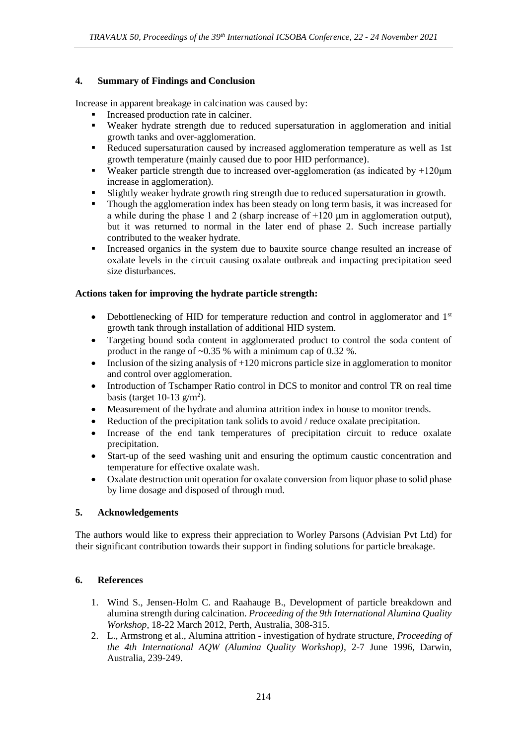## **4. Summary of Findings and Conclusion**

Increase in apparent breakage in calcination was caused by:

- Increased production rate in calciner.
- Weaker hydrate strength due to reduced supersaturation in agglomeration and initial growth tanks and over-agglomeration.
- Reduced supersaturation caused by increased agglomeration temperature as well as 1st growth temperature (mainly caused due to poor HID performance).
- **•** Weaker particle strength due to increased over-agglomeration (as indicated by  $+120\mu m$ increase in agglomeration).
- Slightly weaker hydrate growth ring strength due to reduced supersaturation in growth.
- **•** Though the agglomeration index has been steady on long term basis, it was increased for a while during the phase 1 and 2 (sharp increase of  $+120 \mu m$  in agglomeration output), but it was returned to normal in the later end of phase 2. Such increase partially contributed to the weaker hydrate.
- Increased organics in the system due to bauxite source change resulted an increase of oxalate levels in the circuit causing oxalate outbreak and impacting precipitation seed size disturbances.

### **Actions taken for improving the hydrate particle strength:**

- Debottlenecking of HID for temperature reduction and control in agglomerator and  $1<sup>st</sup>$ growth tank through installation of additional HID system.
- Targeting bound soda content in agglomerated product to control the soda content of product in the range of ~0.35 % with a minimum cap of 0.32 %.
- Inclusion of the sizing analysis of  $+120$  microns particle size in agglomeration to monitor and control over agglomeration.
- Introduction of Tschamper Ratio control in DCS to monitor and control TR on real time basis (target  $10-13$  g/m<sup>2</sup>).
- Measurement of the hydrate and alumina attrition index in house to monitor trends.
- Reduction of the precipitation tank solids to avoid / reduce oxalate precipitation.
- Increase of the end tank temperatures of precipitation circuit to reduce oxalate precipitation.
- Start-up of the seed washing unit and ensuring the optimum caustic concentration and temperature for effective oxalate wash.
- Oxalate destruction unit operation for oxalate conversion from liquor phase to solid phase by lime dosage and disposed of through mud.

### **5. Acknowledgements**

The authors would like to express their appreciation to Worley Parsons (Advisian Pvt Ltd) for their significant contribution towards their support in finding solutions for particle breakage.

### **6. References**

- 1. Wind S., Jensen-Holm C. and Raahauge B., Development of particle breakdown and alumina strength during calcination. *Proceeding of the 9th International Alumina Quality Workshop*, 18-22 March 2012, Perth, Australia, 308-315.
- 2. L., Armstrong et al., Alumina attrition investigation of hydrate structure, *Proceeding of the 4th International AQW (Alumina Quality Workshop)*, 2-7 June 1996, Darwin, Australia, 239-249.